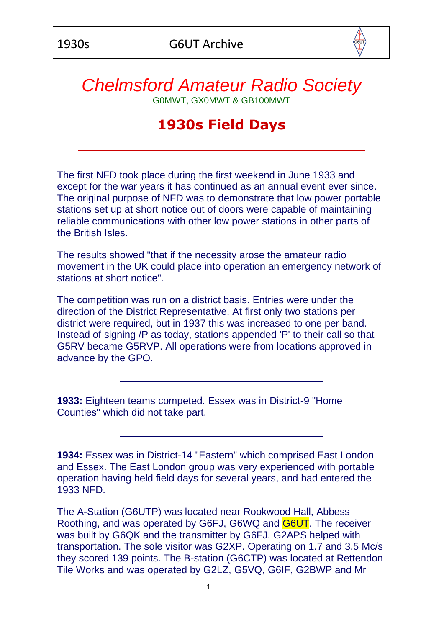

## *Chelmsford Amateur Radio Society* G0MWT, GX0MWT & GB100MWT

## **1930s Field Days**

The first NFD took place during the first weekend in June 1933 and except for the war years it has continued as an annual event ever since. The original purpose of NFD was to demonstrate that low power portable stations set up at short notice out of doors were capable of maintaining reliable communications with other low power stations in other parts of the British Isles.

The results showed "that if the necessity arose the amateur radio movement in the UK could place into operation an emergency network of stations at short notice".

The competition was run on a district basis. Entries were under the direction of the District Representative. At first only two stations per district were required, but in 1937 this was increased to one per band. Instead of signing /P as today, stations appended 'P' to their call so that G5RV became G5RVP. All operations were from locations approved in advance by the GPO.

**1933:** Eighteen teams competed. Essex was in District-9 "Home Counties" which did not take part.

**1934:** Essex was in District-14 "Eastern" which comprised East London and Essex. The East London group was very experienced with portable operation having held field days for several years, and had entered the 1933 NFD.

The A-Station (G6UTP) was located near Rookwood Hall, Abbess Roothing, and was operated by G6FJ, G6WQ and G6UT. The receiver was built by G6QK and the transmitter by G6FJ. G2APS helped with transportation. The sole visitor was G2XP. Operating on 1.7 and 3.5 Mc/s they scored 139 points. The B-station (G6CTP) was located at Rettendon Tile Works and was operated by G2LZ, G5VQ, G6IF, G2BWP and Mr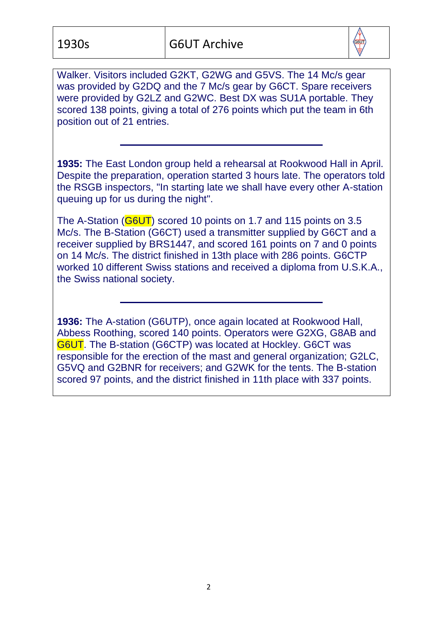

Walker. Visitors included G2KT, G2WG and G5VS. The 14 Mc/s gear was provided by G2DQ and the 7 Mc/s gear by G6CT. Spare receivers were provided by G2LZ and G2WC. Best DX was SU1A portable. They scored 138 points, giving a total of 276 points which put the team in 6th position out of 21 entries.

**1935:** The East London group held a rehearsal at Rookwood Hall in April. Despite the preparation, operation started 3 hours late. The operators told the RSGB inspectors, "In starting late we shall have every other A-station queuing up for us during the night".

The A-Station (G6UT) scored 10 points on 1.7 and 115 points on 3.5 Mc/s. The B-Station (G6CT) used a transmitter supplied by G6CT and a receiver supplied by BRS1447, and scored 161 points on 7 and 0 points on 14 Mc/s. The district finished in 13th place with 286 points. G6CTP worked 10 different Swiss stations and received a diploma from U.S.K.A., the Swiss national society.

**1936:** The A-station (G6UTP), once again located at Rookwood Hall, Abbess Roothing, scored 140 points. Operators were G2XG, G8AB and G6UT. The B-station (G6CTP) was located at Hockley. G6CT was responsible for the erection of the mast and general organization; G2LC, G5VQ and G2BNR for receivers; and G2WK for the tents. The B-station scored 97 points, and the district finished in 11th place with 337 points.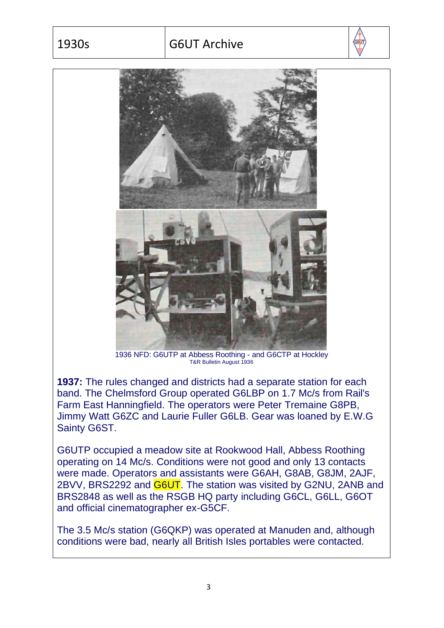



1936 NFD: G6UTP at Abbess Roothing - and G6CTP at Hockley T&R Bulletin August 1936

**1937:** The rules changed and districts had a separate station for each band. The Chelmsford Group operated G6LBP on 1.7 Mc/s from Rail's Farm East Hanningfield. The operators were Peter Tremaine G8PB, Jimmy Watt G6ZC and Laurie Fuller G6LB. Gear was loaned by E.W.G Sainty G6ST.

G6UTP occupied a meadow site at Rookwood Hall, Abbess Roothing operating on 14 Mc/s. Conditions were not good and only 13 contacts were made. Operators and assistants were G6AH, G8AB, G8JM, 2AJF, 2BVV, BRS2292 and G6UT. The station was visited by G2NU, 2ANB and BRS2848 as well as the RSGB HQ party including G6CL, G6LL, G6OT and official cinematographer ex-G5CF.

The 3.5 Mc/s station (G6QKP) was operated at Manuden and, although conditions were bad, nearly all British Isles portables were contacted.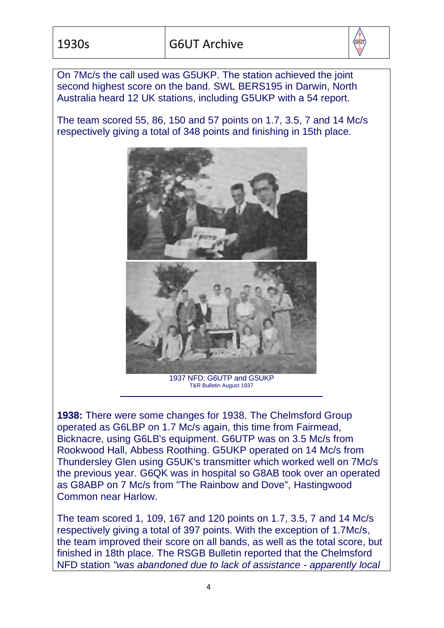

On 7Mc/s the call used was G5UKP. The station achieved the joint second highest score on the band. SWL BERS195 in Darwin, North Australia heard 12 UK stations, including G5UKP with a 54 report.

The team scored 55, 86, 150 and 57 points on 1.7, 3.5, 7 and 14 Mc/s respectively giving a total of 348 points and finishing in 15th place.



1937 NFD: G6UTP and G5UKP T&R Bulletin August 1937

**1938:** There were some changes for 1938. The Chelmsford Group operated as G6LBP on 1.7 Mc/s again, this time from Fairmead, Bicknacre, using G6LB's equipment. G6UTP was on 3.5 Mc/s from Rookwood Hall, Abbess Roothing. G5UKP operated on 14 Mc/s from Thundersley Glen using G5UK's transmitter which worked well on 7Mc/s the previous year. G6QK was in hospital so G8AB took over an operated as G8ABP on 7 Mc/s from "The Rainbow and Dove", Hastingwood Common near Harlow.

The team scored 1, 109, 167 and 120 points on 1.7, 3.5, 7 and 14 Mc/s respectively giving a total of 397 points. With the exception of 1.7Mc/s, the team improved their score on all bands, as well as the total score, but finished in 18th place. The RSGB Bulletin reported that the Chelmsford NFD station *"was abandoned due to lack of assistance - apparently local*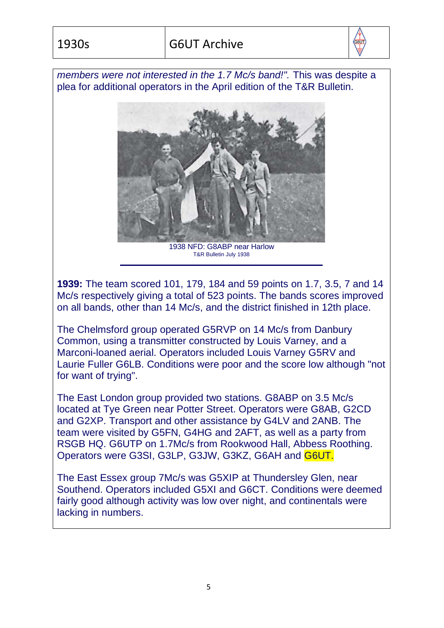

*members were not interested in the 1.7 Mc/s band!".* This was despite a plea for additional operators in the April edition of the T&R Bulletin.



1938 NFD: G8ABP near Harlow T&R Bulletin July 1938

**1939:** The team scored 101, 179, 184 and 59 points on 1.7, 3.5, 7 and 14 Mc/s respectively giving a total of 523 points. The bands scores improved on all bands, other than 14 Mc/s, and the district finished in 12th place.

The Chelmsford group operated G5RVP on 14 Mc/s from Danbury Common, using a transmitter constructed by Louis Varney, and a Marconi-loaned aerial. Operators included Louis Varney G5RV and Laurie Fuller G6LB. Conditions were poor and the score low although "not for want of trying".

The East London group provided two stations. G8ABP on 3.5 Mc/s located at Tye Green near Potter Street. Operators were G8AB, G2CD and G2XP. Transport and other assistance by G4LV and 2ANB. The team were visited by G5FN, G4HG and 2AFT, as well as a party from RSGB HQ. G6UTP on 1.7Mc/s from Rookwood Hall, Abbess Roothing. Operators were G3SI, G3LP, G3JW, G3KZ, G6AH and G6UT.

The East Essex group 7Mc/s was G5XIP at Thundersley Glen, near Southend. Operators included G5XI and G6CT. Conditions were deemed fairly good although activity was low over night, and continentals were lacking in numbers.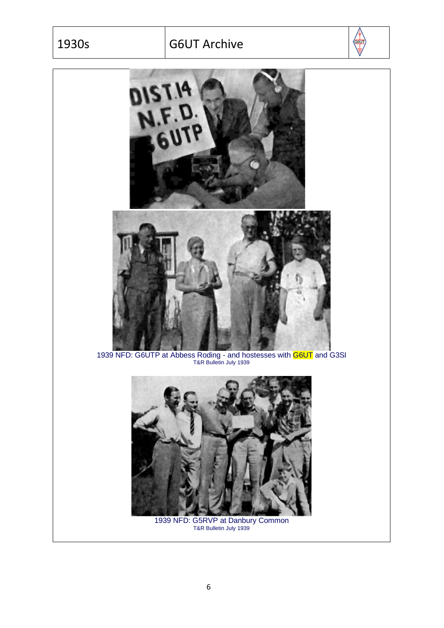



1939 NFD: G5RVP at Danbury Common T&R Bulletin July 1939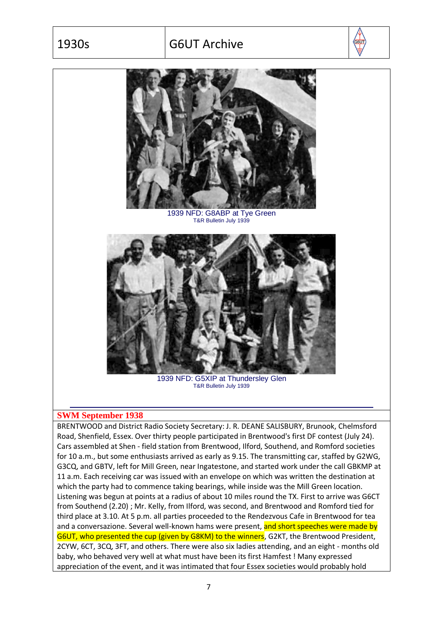## 1930s G6UT Archive



T&R Bulletin July 1939



1939 NFD: G5XIP at Thundersley Glen T&R Bulletin July 1939

## **SWM September 1938**

BRENTWOOD and District Radio Society Secretary: J. R. DEANE SALISBURY, Brunook, Chelmsford Road, Shenfield, Essex. Over thirty people participated in Brentwood's first DF contest (July 24). Cars assembled at Shen - field station from Brentwood, Ilford, Southend, and Romford societies for 10 a.m., but some enthusiasts arrived as early as 9.15. The transmitting car, staffed by G2WG, G3CQ, and GBTV, left for Mill Green, near Ingatestone, and started work under the call GBKMP at 11 a.m. Each receiving car was issued with an envelope on which was written the destination at which the party had to commence taking bearings, while inside was the Mill Green location. Listening was begun at points at a radius of about 10 miles round the TX. First to arrive was G6CT from Southend (2.20) ; Mr. Kelly, from Ilford, was second, and Brentwood and Romford tied for third place at 3.10. At 5 p.m. all parties proceeded to the Rendezvous Cafe in Brentwood for tea and a conversazione. Several well-known hams were present, and short speeches were made by G6UT, who presented the cup (given by G8KM) to the winners, G2KT, the Brentwood President, 2CYW, 6CT, 3CQ, 3FT, and others. There were also six ladies attending, and an eight - months old baby, who behaved very well at what must have been its first Hamfest ! Many expressed appreciation of the event, and it was intimated that four Essex societies would probably hold